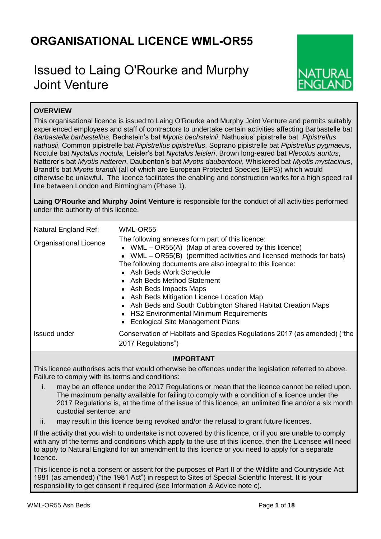# **ORGANISATIONAL LICENCE WML-OR55**

# Issued to Laing O'Rourke and Murphy Joint Venture



# **OVERVIEW**

This organisational licence is issued to Laing O'Rourke and Murphy Joint Venture and permits suitably experienced employees and staff of contractors to undertake certain activities affecting Barbastelle bat *Barbastella barbastellus*, Bechstein's bat *Myotis bechsteinii*, Nathusius' pipistrelle bat *Pipistrellus nathusii*, Common pipistrelle bat *Pipistrellus pipistrellus*, Soprano pipistrelle bat *Pipistrellus pygmaeus*, Noctule bat *Nyctalus noctula*, Leisler's bat *Nyctalus leisleri*, Brown long-eared bat *Plecotus auritus*, Natterer's bat *Myotis nattereri*, Daubenton's bat *Myotis daubentonii*, Whiskered bat *Myotis mystacinus*, Brandt's bat *Myotis brandii* (all of which are European Protected Species (EPS)) which would otherwise be unlawful. The licence facilitates the enabling and construction works for a high speed rail line between London and Birmingham (Phase 1).

**Laing O'Rourke and Murphy Joint Venture** is responsible for the conduct of all activities performed under the authority of this licence.

| Natural England Ref:          | WML-OR55                                                                                                                                                                                                                                                                                                                                                                                                                                                                                                                                |
|-------------------------------|-----------------------------------------------------------------------------------------------------------------------------------------------------------------------------------------------------------------------------------------------------------------------------------------------------------------------------------------------------------------------------------------------------------------------------------------------------------------------------------------------------------------------------------------|
| <b>Organisational Licence</b> | The following annexes form part of this licence:<br>• WML $-$ OR55(A) (Map of area covered by this licence)<br>• WML – OR55(B) (permitted activities and licensed methods for bats)<br>The following documents are also integral to this licence:<br>• Ash Beds Work Schedule<br>• Ash Beds Method Statement<br>• Ash Beds Impacts Maps<br>• Ash Beds Mitigation Licence Location Map<br>• Ash Beds and South Cubbington Shared Habitat Creation Maps<br>• HS2 Environmental Minimum Requirements<br>• Ecological Site Management Plans |
| Issued under                  | Conservation of Habitats and Species Regulations 2017 (as amended) ("the<br>2017 Regulations")                                                                                                                                                                                                                                                                                                                                                                                                                                          |

# **IMPORTANT**

This licence authorises acts that would otherwise be offences under the legislation referred to above. Failure to comply with its terms and conditions:

- i. may be an offence under the 2017 Regulations or mean that the licence cannot be relied upon. The maximum penalty available for failing to comply with a condition of a licence under the 2017 Regulations is, at the time of the issue of this licence, an unlimited fine and/or a six month custodial sentence; and
- ii. may result in this licence being revoked and/or the refusal to grant future licences.

If the activity that you wish to undertake is not covered by this licence, or if you are unable to comply with any of the terms and conditions which apply to the use of this licence, then the Licensee will need to apply to Natural England for an amendment to this licence or you need to apply for a separate licence.

This licence is not a consent or assent for the purposes of Part II of the Wildlife and Countryside Act 1981 (as amended) ("the 1981 Act") in respect to Sites of Special Scientific Interest. It is your responsibility to get consent if required (see Information & Advice note c).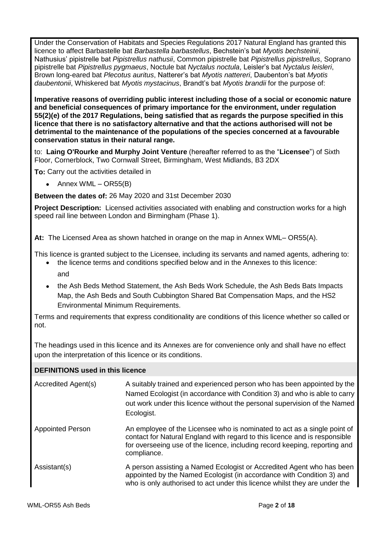Under the Conservation of Habitats and Species Regulations 2017 Natural England has granted this licence to affect Barbastelle bat *Barbastella barbastellus*, Bechstein's bat *Myotis bechsteinii*, Nathusius' pipistrelle bat *Pipistrellus nathusii*, Common pipistrelle bat *Pipistrellus pipistrellus*, Soprano pipistrelle bat *Pipistrellus pygmaeus*, Noctule bat *Nyctalus noctula*, Leisler's bat *Nyctalus leisleri*, Brown long-eared bat *Plecotus auritus*, Natterer's bat *Myotis nattereri*, Daubenton's bat *Myotis daubentonii*, Whiskered bat *Myotis mystacinus*, Brandt's bat *Myotis brandii* for the purpose of:

**Imperative reasons of overriding public interest including those of a social or economic nature and beneficial consequences of primary importance for the environment, under regulation 55(2)(e) of the 2017 Regulations, being satisfied that as regards the purpose specified in this licence that there is no satisfactory alternative and that the actions authorised will not be detrimental to the maintenance of the populations of the species concerned at a favourable conservation status in their natural range.**

to: **Laing O'Rourke and Murphy Joint Venture** (hereafter referred to as the "**Licensee**") of Sixth Floor, Cornerblock, Two Cornwall Street, Birmingham, West Midlands, B3 2DX

**To:** Carry out the activities detailed in

• Annex WML –  $OR55(B)$ 

**Between the dates of:** 26 May 2020 and 31st December 2030

**Project Description:** Licensed activities associated with enabling and construction works for a high speed rail line between London and Birmingham (Phase 1).

**At:** The Licensed Area as shown hatched in orange on the map in Annex WML– OR55(A).

This licence is granted subject to the Licensee, including its servants and named agents, adhering to:

- the licence terms and conditions specified below and in the Annexes to this licence: and
- the Ash Beds Method Statement, the Ash Beds Work Schedule, the Ash Beds Bats Impacts Map, the Ash Beds and South Cubbington Shared Bat Compensation Maps, and the HS2 Environmental Minimum Requirements.

Terms and requirements that express conditionality are conditions of this licence whether so called or not.

The headings used in this licence and its Annexes are for convenience only and shall have no effect upon the interpretation of this licence or its conditions.

| Accredited Agent(s)     | A suitably trained and experienced person who has been appointed by the<br>Named Ecologist (in accordance with Condition 3) and who is able to carry<br>out work under this licence without the personal supervision of the Named<br>Ecologist.     |
|-------------------------|-----------------------------------------------------------------------------------------------------------------------------------------------------------------------------------------------------------------------------------------------------|
| <b>Appointed Person</b> | An employee of the Licensee who is nominated to act as a single point of<br>contact for Natural England with regard to this licence and is responsible<br>for overseeing use of the licence, including record keeping, reporting and<br>compliance. |
| Assistant(s)            | A person assisting a Named Ecologist or Accredited Agent who has been<br>appointed by the Named Ecologist (in accordance with Condition 3) and<br>who is only authorised to act under this licence whilst they are under the                        |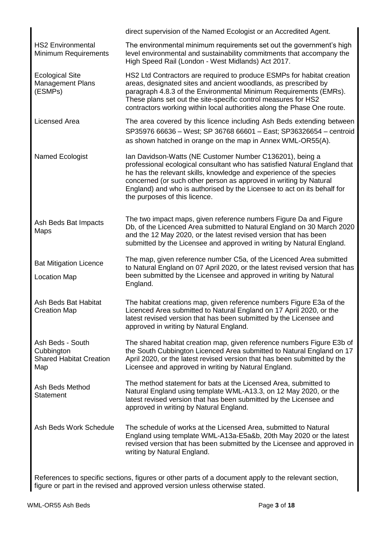|                                                                         | direct supervision of the Named Ecologist or an Accredited Agent.                                                                                                                                                                                                                                                                                                                             |
|-------------------------------------------------------------------------|-----------------------------------------------------------------------------------------------------------------------------------------------------------------------------------------------------------------------------------------------------------------------------------------------------------------------------------------------------------------------------------------------|
| <b>HS2 Environmental</b><br>Minimum Requirements                        | The environmental minimum requirements set out the government's high<br>level environmental and sustainability commitments that accompany the<br>High Speed Rail (London - West Midlands) Act 2017.                                                                                                                                                                                           |
| <b>Ecological Site</b><br>Management Plans<br>(ESMPs)                   | HS2 Ltd Contractors are required to produce ESMPs for habitat creation<br>areas, designated sites and ancient woodlands, as prescribed by<br>paragraph 4.8.3 of the Environmental Minimum Requirements (EMRs).<br>These plans set out the site-specific control measures for HS2<br>contractors working within local authorities along the Phase One route.                                   |
| <b>Licensed Area</b>                                                    | The area covered by this licence including Ash Beds extending between<br>SP35976 66636 - West; SP 36768 66601 - East; SP36326654 - centroid<br>as shown hatched in orange on the map in Annex WML-OR55(A).                                                                                                                                                                                    |
| Named Ecologist                                                         | Ian Davidson-Watts (NE Customer Number C136201), being a<br>professional ecological consultant who has satisfied Natural England that<br>he has the relevant skills, knowledge and experience of the species<br>concerned (or such other person as approved in writing by Natural<br>England) and who is authorised by the Licensee to act on its behalf for<br>the purposes of this licence. |
| Ash Beds Bat Impacts<br>Maps                                            | The two impact maps, given reference numbers Figure Da and Figure<br>Db, of the Licenced Area submitted to Natural England on 30 March 2020<br>and the 12 May 2020, or the latest revised version that has been<br>submitted by the Licensee and approved in writing by Natural England.                                                                                                      |
| <b>Bat Mitigation Licence</b><br><b>Location Map</b>                    | The map, given reference number C5a, of the Licenced Area submitted<br>to Natural England on 07 April 2020, or the latest revised version that has<br>been submitted by the Licensee and approved in writing by Natural<br>England.                                                                                                                                                           |
| Ash Beds Bat Habitat<br><b>Creation Map</b>                             | The habitat creations map, given reference numbers Figure E3a of the<br>Licenced Area submitted to Natural England on 17 April 2020, or the<br>latest revised version that has been submitted by the Licensee and<br>approved in writing by Natural England.                                                                                                                                  |
| Ash Beds - South<br>Cubbington<br><b>Shared Habitat Creation</b><br>Map | The shared habitat creation map, given reference numbers Figure E3b of<br>the South Cubbington Licenced Area submitted to Natural England on 17<br>April 2020, or the latest revised version that has been submitted by the<br>Licensee and approved in writing by Natural England.                                                                                                           |
| Ash Beds Method<br><b>Statement</b>                                     | The method statement for bats at the Licensed Area, submitted to<br>Natural England using template WML-A13.3, on 12 May 2020, or the<br>latest revised version that has been submitted by the Licensee and<br>approved in writing by Natural England.                                                                                                                                         |
| Ash Beds Work Schedule                                                  | The schedule of works at the Licensed Area, submitted to Natural<br>England using template WML-A13a-E5a&b, 20th May 2020 or the latest<br>revised version that has been submitted by the Licensee and approved in<br>writing by Natural England.                                                                                                                                              |

References to specific sections, figures or other parts of a document apply to the relevant section, figure or part in the revised and approved version unless otherwise stated.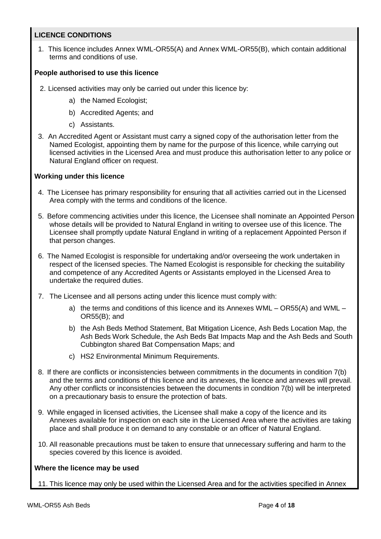## **LICENCE CONDITIONS**

1. This licence includes Annex WML-OR55(A) and Annex WML-OR55(B), which contain additional terms and conditions of use.

## **People authorised to use this licence**

- 2. Licensed activities may only be carried out under this licence by:
	- a) the Named Ecologist;
	- b) Accredited Agents; and
	- c) Assistants.
- 3. An Accredited Agent or Assistant must carry a signed copy of the authorisation letter from the Named Ecologist, appointing them by name for the purpose of this licence, while carrying out licensed activities in the Licensed Area and must produce this authorisation letter to any police or Natural England officer on request.

## **Working under this licence**

- 4. The Licensee has primary responsibility for ensuring that all activities carried out in the Licensed Area comply with the terms and conditions of the licence.
- 5. Before commencing activities under this licence, the Licensee shall nominate an Appointed Person whose details will be provided to Natural England in writing to oversee use of this licence. The Licensee shall promptly update Natural England in writing of a replacement Appointed Person if that person changes.
- 6. The Named Ecologist is responsible for undertaking and/or overseeing the work undertaken in respect of the licensed species. The Named Ecologist is responsible for checking the suitability and competence of any Accredited Agents or Assistants employed in the Licensed Area to undertake the required duties.
- 7. The Licensee and all persons acting under this licence must comply with:
	- a) the terms and conditions of this licence and its Annexes WML OR55(A) and WML OR55(B); and
	- b) the Ash Beds Method Statement, Bat Mitigation Licence, Ash Beds Location Map, the Ash Beds Work Schedule, the Ash Beds Bat Impacts Map and the Ash Beds and South Cubbington shared Bat Compensation Maps; and
	- c) HS2 Environmental Minimum Requirements.
- 8. If there are conflicts or inconsistencies between commitments in the documents in condition 7(b) and the terms and conditions of this licence and its annexes, the licence and annexes will prevail. Any other conflicts or inconsistencies between the documents in condition 7(b) will be interpreted on a precautionary basis to ensure the protection of bats.
- 9. While engaged in licensed activities, the Licensee shall make a copy of the licence and its Annexes available for inspection on each site in the Licensed Area where the activities are taking place and shall produce it on demand to any constable or an officer of Natural England.
- 10. All reasonable precautions must be taken to ensure that unnecessary suffering and harm to the species covered by this licence is avoided.

## **Where the licence may be used**

11. This licence may only be used within the Licensed Area and for the activities specified in Annex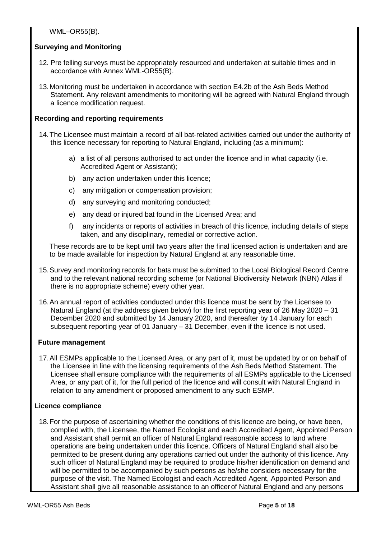WML–OR55(B).

## **Surveying and Monitoring**

- 12. Pre felling surveys must be appropriately resourced and undertaken at suitable times and in accordance with Annex WML-OR55(B).
- 13.Monitoring must be undertaken in accordance with section E4.2b of the Ash Beds Method Statement. Any relevant amendments to monitoring will be agreed with Natural England through a licence modification request.

## **Recording and reporting requirements**

- 14.The Licensee must maintain a record of all bat-related activities carried out under the authority of this licence necessary for reporting to Natural England, including (as a minimum):
	- a) a list of all persons authorised to act under the licence and in what capacity (i.e. Accredited Agent or Assistant);
	- b) any action undertaken under this licence;
	- c) any mitigation or compensation provision;
	- d) any surveying and monitoring conducted;
	- e) any dead or injured bat found in the Licensed Area; and
	- f) any incidents or reports of activities in breach of this licence, including details of steps taken, and any disciplinary, remedial or corrective action.

These records are to be kept until two years after the final licensed action is undertaken and are to be made available for inspection by Natural England at any reasonable time.

- 15.Survey and monitoring records for bats must be submitted to the Local Biological Record Centre and to the relevant national recording scheme (or National Biodiversity Network (NBN) Atlas if there is no appropriate scheme) every other year.
- 16.An annual report of activities conducted under this licence must be sent by the Licensee to Natural England (at the address given below) for the first reporting year of 26 May 2020 – 31 December 2020 and submitted by 14 January 2020, and thereafter by 14 January for each subsequent reporting year of 01 January – 31 December, even if the licence is not used.

## **Future management**

17.All ESMPs applicable to the Licensed Area, or any part of it, must be updated by or on behalf of the Licensee in line with the licensing requirements of the Ash Beds Method Statement. The Licensee shall ensure compliance with the requirements of all ESMPs applicable to the Licensed Area, or any part of it, for the full period of the licence and will consult with Natural England in relation to any amendment or proposed amendment to any such ESMP.

# **Licence compliance**

18.For the purpose of ascertaining whether the conditions of this licence are being, or have been, complied with, the Licensee, the Named Ecologist and each Accredited Agent, Appointed Person and Assistant shall permit an officer of Natural England reasonable access to land where operations are being undertaken under this licence. Officers of Natural England shall also be permitted to be present during any operations carried out under the authority of this licence. Any such officer of Natural England may be required to produce his/her identification on demand and will be permitted to be accompanied by such persons as he/she considers necessary for the purpose of the visit. The Named Ecologist and each Accredited Agent, Appointed Person and Assistant shall give all reasonable assistance to an officer of Natural England and any persons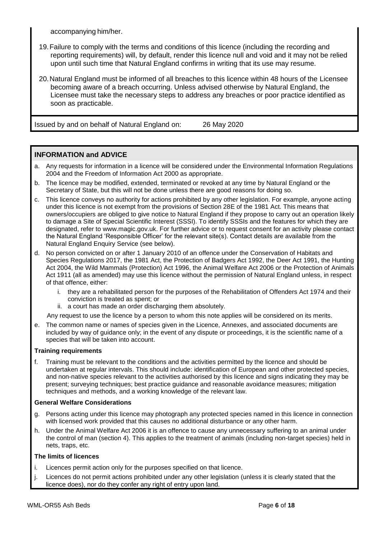accompanying him/her.

- 19.Failure to comply with the terms and conditions of this licence (including the recording and reporting requirements) will, by default, render this licence null and void and it may not be relied upon until such time that Natural England confirms in writing that its use may resume.
- 20.Natural England must be informed of all breaches to this licence within 48 hours of the Licensee becoming aware of a breach occurring. Unless advised otherwise by Natural England, the Licensee must take the necessary steps to address any breaches or poor practice identified as soon as practicable.

Issued by and on behalf of Natural England on: 26 May 2020

## **INFORMATION and ADVICE**

- a. Any requests for information in a licence will be considered under the Environmental Information Regulations 2004 and the Freedom of Information Act 2000 as appropriate.
- b. The licence may be modified, extended, terminated or revoked at any time by Natural England or the Secretary of State, but this will not be done unless there are good reasons for doing so.
- c. This licence conveys no authority for actions prohibited by any other legislation. For example, anyone acting under this licence is not exempt from the provisions of Section 28E of the 1981 Act. This means that owners/occupiers are obliged to give notice to Natural England if they propose to carry out an operation likely to damage a Site of Special Scientific Interest (SSSI). To identify SSSIs and the features for which they are designated, refer to www.magic.gov.uk. For further advice or to request consent for an activity please contact the Natural England 'Responsible Officer' for the relevant site(s). Contact details are available from the Natural England Enquiry Service (see below).
- d. No person convicted on or after 1 January 2010 of an offence under the Conservation of Habitats and Species Regulations 2017, the 1981 Act, the Protection of Badgers Act 1992, the Deer Act 1991, the Hunting Act 2004, the Wild Mammals (Protection) Act 1996, the Animal Welfare Act 2006 or the Protection of Animals Act 1911 (all as amended) may use this licence without the permission of Natural England unless, in respect of that offence, either:
	- i. they are a rehabilitated person for the purposes of the Rehabilitation of Offenders Act 1974 and their conviction is treated as spent; or
	- ii. a court has made an order discharging them absolutely.

Any request to use the licence by a person to whom this note applies will be considered on its merits.

e. The common name or names of species given in the Licence, Annexes, and associated documents are included by way of guidance only; in the event of any dispute or proceedings, it is the scientific name of a species that will be taken into account.

## **Training requirements**

f. Training must be relevant to the conditions and the activities permitted by the licence and should be undertaken at regular intervals. This should include: identification of European and other protected species, and non-native species relevant to the activities authorised by this licence and signs indicating they may be present; surveying techniques; best practice guidance and reasonable avoidance measures; mitigation techniques and methods, and a working knowledge of the relevant law.

## **General Welfare Considerations**

- g. Persons acting under this licence may photograph any protected species named in this licence in connection with licensed work provided that this causes no additional disturbance or any other harm.
- h. Under the Animal Welfare Act 2006 it is an offence to cause any unnecessary suffering to an animal under the control of man (section 4). This applies to the treatment of animals (including non-target species) held in nets, traps, etc.

## **The limits of licences**

- i. Licences permit action only for the purposes specified on that licence.
- j. Licences do not permit actions prohibited under any other legislation (unless it is clearly stated that the licence does), nor do they confer any right of entry upon land.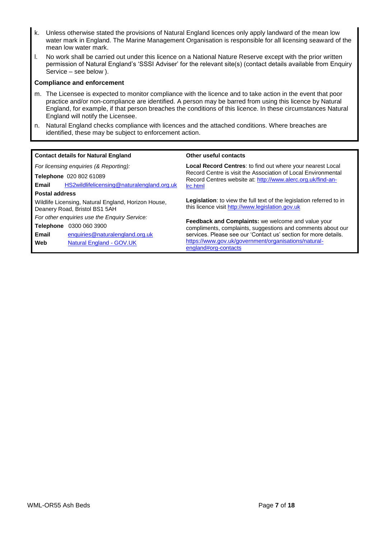- k. Unless otherwise stated the provisions of Natural England licences only apply landward of the mean low water mark in England. The Marine Management Organisation is responsible for all licensing seaward of the mean low water mark.
- l. No work shall be carried out under this licence on a National Nature Reserve except with the prior written permission of Natural England's 'SSSI Adviser' for the relevant site(s) (contact details available from Enquiry Service – see below ).

### **Compliance and enforcement**

- m. The Licensee is expected to monitor compliance with the licence and to take action in the event that poor practice and/or non-compliance are identified. A person may be barred from using this licence by Natural England, for example, if that person breaches the conditions of this licence. In these circumstances Natural England will notify the Licensee.
- n. Natural England checks compliance with licences and the attached conditions. Where breaches are identified, these may be subject to enforcement action.

| <b>Contact details for Natural England</b>                                           | Other useful contacts                                                                                                        |  |  |
|--------------------------------------------------------------------------------------|------------------------------------------------------------------------------------------------------------------------------|--|--|
| For licensing enquiries (& Reporting):                                               | Local Record Centres: to find out where your nearest Local                                                                   |  |  |
| Telephone 020 802 61089                                                              | Record Centre is visit the Association of Local Environmental<br>Record Centres website at: http://www.alerc.org.uk/find-an- |  |  |
| HS2wildlifelicensing@naturalengland.org.uk<br>Email                                  | Irc.html                                                                                                                     |  |  |
| <b>Postal address</b>                                                                |                                                                                                                              |  |  |
| Wildlife Licensing, Natural England, Horizon House,<br>Deanery Road, Bristol BS1 5AH | Legislation: to view the full text of the legislation referred to in<br>this licence visit http://www.legislation.gov.uk     |  |  |
| For other enguiries use the Enguiry Service:                                         |                                                                                                                              |  |  |
| 0300 060 3900<br><b>Telephone</b>                                                    | <b>Feedback and Complaints:</b> we welcome and value your<br>compliments, complaints, suggestions and comments about our     |  |  |
| Email<br>enquiries@naturalengland.org.uk                                             | services. Please see our 'Contact us' section for more details.                                                              |  |  |
| Web<br><b>Natural England - GOV.UK</b>                                               | https://www.gov.uk/government/organisations/natural-<br>england#org-contacts                                                 |  |  |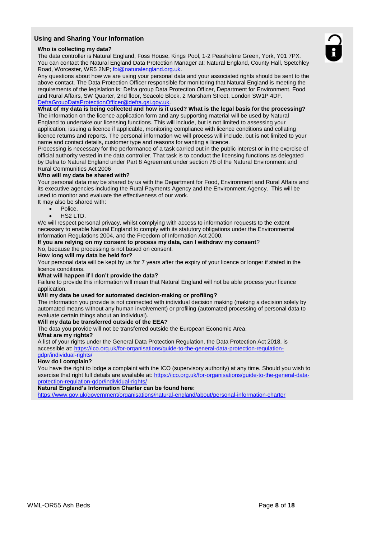## **Using and Sharing Your Information**

#### **Who is collecting my data?**

The data controller is Natural England, Foss House, Kings Pool, 1-2 Peasholme Green, York, Y01 7PX. You can contact the Natural England Data Protection Manager at: Natural England, County Hall, Spetchley Road, Worcester, WR5 2NP; [foi@naturalengland.org.uk.](mailto:foi@naturalengland.org.uk)

Any questions about how we are using your personal data and your associated rights should be sent to the above contact. The Data Protection Officer responsible for monitoring that Natural England is meeting the requirements of the legislation is: Defra group Data Protection Officer, Department for Environment, Food and Rural Affairs, SW Quarter, 2nd floor, Seacole Block, 2 Marsham Street, London SW1P 4DF. [DefraGroupDataProtectionOfficer@defra.gsi.gov.uk.](mailto:DefraGroupDataProtectionOfficer@defra.gsi.gov.uk)

#### **What of my data is being collected and how is it used? What is the legal basis for the processing?**

The information on the licence application form and any supporting material will be used by Natural England to undertake our licensing functions. This will include, but is not limited to assessing your application, issuing a licence if applicable, monitoring compliance with licence conditions and collating licence returns and reports. The personal information we will process will include, but is not limited to your name and contact details, customer type and reasons for wanting a licence.

Processing is necessary for the performance of a task carried out in the public interest or in the exercise of official authority vested in the data controller. That task is to conduct the licensing functions as delegated by Defra to Natural England under Part 8 Agreement under section 78 of the Natural Environment and Rural Communities Act 2006

### **Who will my data be shared with?**

Your personal data may be shared by us with the Department for Food, Environment and Rural Affairs and its executive agencies including the Rural Payments Agency and the Environment Agency. This will be used to monitor and evaluate the effectiveness of our work.

It may also be shared with:

- Police.
- HS2 LTD.

We will respect personal privacy, whilst complying with access to information requests to the extent necessary to enable Natural England to comply with its statutory obligations under the Environmental Information Regulations 2004, and the Freedom of Information Act 2000.

#### **If you are relying on my consent to process my data, can I withdraw my consent**?

No, because the processing is not based on consent.

#### **How long will my data be held for?**

Your personal data will be kept by us for 7 years after the expiry of your licence or longer if stated in the licence conditions.

#### **What will happen if I don't provide the data?**

Failure to provide this information will mean that Natural England will not be able process your licence application.

#### **Will my data be used for automated decision-making or profiling?**

The information you provide is not connected with individual decision making (making a decision solely by automated means without any human involvement) or profiling (automated processing of personal data to evaluate certain things about an individual).

#### **Will my data be transferred outside of the EEA?**

The data you provide will not be transferred outside the European Economic Area.

### **What are my rights?**

A list of your rights under the General Data Protection Regulation, the Data Protection Act 2018, is accessible at: [https://ico.org.uk/for-organisations/guide-to-the-general-data-protection-regulation](https://ico.org.uk/for-organisations/guide-to-the-general-data-protection-regulation-gdpr/individual-rights/)[gdpr/individual-rights/](https://ico.org.uk/for-organisations/guide-to-the-general-data-protection-regulation-gdpr/individual-rights/)

#### **How do I complain?**

You have the right to lodge a complaint with the ICO (supervisory authority) at any time. Should you wish to exercise that right full details are available at: [https://ico.org.uk/for-organisations/guide-to-the-general-data](https://ico.org.uk/for-organisations/guide-to-the-general-data-protection-regulation-gdpr/individual-rights/)[protection-regulation-gdpr/individual-rights/](https://ico.org.uk/for-organisations/guide-to-the-general-data-protection-regulation-gdpr/individual-rights/)

**Natural England's Information Charter can be found here:**

<https://www.gov.uk/government/organisations/natural-england/about/personal-information-charter>

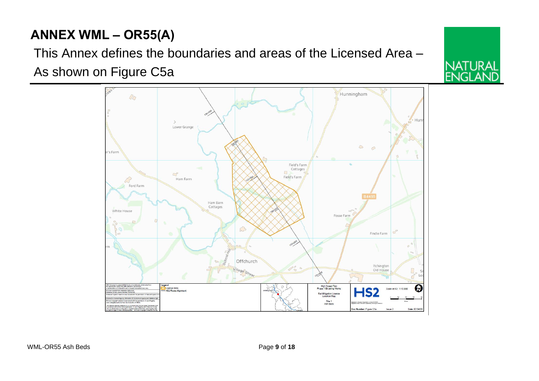# **ANNEX WML – OR55(A)**

This Annex defines the boundaries and areas of the Licensed Area – As shown on Figure C5a



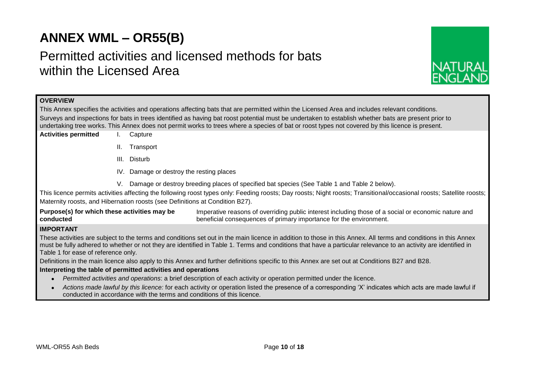# **ANNEX WML – OR55(B)**

# Permitted activities and licensed methods for bats within the Licensed Area



## **OVERVIEW**

This Annex specifies the activities and operations affecting bats that are permitted within the Licensed Area and includes relevant conditions. Surveys and inspections for bats in trees identified as having bat roost potential must be undertaken to establish whether bats are present prior to undertaking tree works. This Annex does not permit works to trees where a species of bat or roost types not covered by this licence is present.

- **Activities permitted** I. Capture
	- II. Transport
	- III. Disturb
	- IV. Damage or destroy the resting places
	- V. Damage or destroy breeding places of specified bat species (See Table 1 and Table 2 below).

This licence permits activities affecting the following roost types only: Feeding roosts; Day roosts; Night roosts; Transitional/occasional roosts; Satellite roosts; Maternity roosts, and Hibernation roosts (see Definitions at Condition B27).

**Purpose(s) for which these activities may be conducted** Imperative reasons of overriding public interest including those of a social or economic nature and beneficial consequences of primary importance for the environment.

## **IMPORTANT**

These activities are subject to the terms and conditions set out in the main licence in addition to those in this Annex. All terms and conditions in this Annex must be fully adhered to whether or not they are identified in Table 1. Terms and conditions that have a particular relevance to an activity are identified in Table 1 for ease of reference only.

Definitions in the main licence also apply to this Annex and further definitions specific to this Annex are set out at Conditions B27 and B28.

### **Interpreting the table of permitted activities and operations**

- *Permitted activities and operations*: a brief description of each activity or operation permitted under the licence.
- *Actions made lawful by this licence:* for each activity or operation listed the presence of a corresponding 'X' indicates which acts are made lawful if conducted in accordance with the terms and conditions of this licence.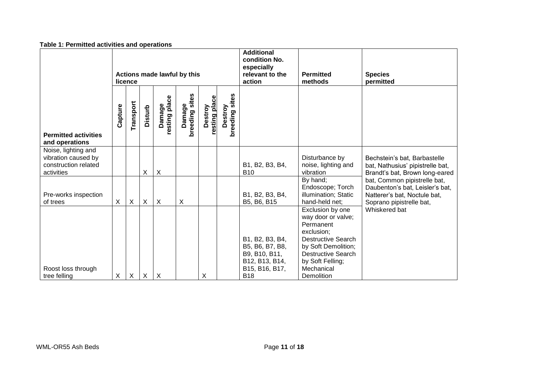| Table 1. Fermitted activities and operations                                     |                                        |           |                |                           |                          |                          |                           |                                                                                                       |                                                                                                                                                                                                    |                                                                                                                             |
|----------------------------------------------------------------------------------|----------------------------------------|-----------|----------------|---------------------------|--------------------------|--------------------------|---------------------------|-------------------------------------------------------------------------------------------------------|----------------------------------------------------------------------------------------------------------------------------------------------------------------------------------------------------|-----------------------------------------------------------------------------------------------------------------------------|
|                                                                                  | Actions made lawful by this<br>licence |           |                |                           |                          |                          |                           | <b>Additional</b><br>condition No.<br>especially<br>relevant to the<br>action                         | <b>Permitted</b><br>methods                                                                                                                                                                        | <b>Species</b><br>permitted                                                                                                 |
| <b>Permitted activities</b><br>and operations                                    | Capture                                | Transport | <b>Disturb</b> | resting place<br>Damage   | Damage<br>breeding sites | resting place<br>Destroy | breeding sites<br>Destroy |                                                                                                       |                                                                                                                                                                                                    |                                                                                                                             |
| Noise, lighting and<br>vibration caused by<br>construction related<br>activities |                                        |           | X              | $\times$                  |                          |                          |                           | B1, B2, B3, B4,<br><b>B10</b>                                                                         | Disturbance by<br>noise, lighting and<br>vibration                                                                                                                                                 | Bechstein's bat, Barbastelle<br>bat, Nathusius' pipistrelle bat,<br>Brandt's bat, Brown long-eared                          |
| Pre-works inspection<br>of trees                                                 | X                                      | X         | X              | $\boldsymbol{X}$          | X                        |                          |                           | B1, B2, B3, B4,<br>B5, B6, B15                                                                        | By hand;<br>Endoscope; Torch<br>illumination; Static<br>hand-held net;                                                                                                                             | bat, Common pipistrelle bat,<br>Daubenton's bat, Leisler's bat,<br>Natterer's bat, Noctule bat,<br>Soprano pipistrelle bat, |
| Roost loss through<br>tree felling                                               | X                                      | X         | X              | $\boldsymbol{\mathsf{X}}$ |                          | X                        |                           | B1, B2, B3, B4,<br>B5, B6, B7, B8,<br>B9, B10, B11,<br>B12, B13, B14,<br>B15, B16, B17,<br><b>B18</b> | Exclusion by one<br>way door or valve;<br>Permanent<br>exclusion;<br><b>Destructive Search</b><br>by Soft Demolition;<br><b>Destructive Search</b><br>by Soft Felling;<br>Mechanical<br>Demolition | Whiskered bat                                                                                                               |

## **Table 1: Permitted activities and operations**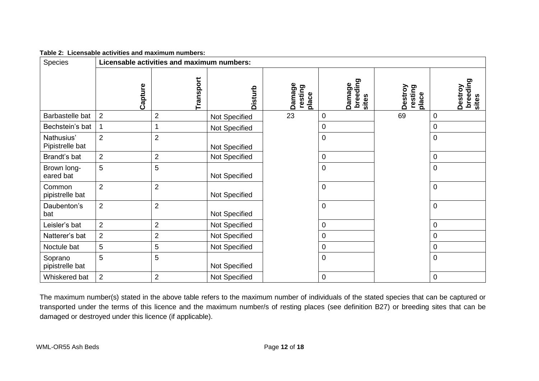| Table 2: Licensable activities and maximum numbers: |
|-----------------------------------------------------|
|                                                     |

| Species                       |                | Licensable activities and maximum numbers: |               |                            |                             |                             |                              |  |
|-------------------------------|----------------|--------------------------------------------|---------------|----------------------------|-----------------------------|-----------------------------|------------------------------|--|
|                               | Capture        | Transport                                  | Disturb       | Damage<br>resting<br>place | breeding<br>sites<br>Damage | Destroy<br>resting<br>place | breeding<br>Destroy<br>sites |  |
| Barbastelle bat               | $\overline{2}$ | $\overline{2}$                             | Not Specified | 23                         | 0                           | 69                          | 0                            |  |
| Bechstein's bat               | $\mathbf 1$    |                                            | Not Specified |                            | 0                           |                             | $\boldsymbol{0}$             |  |
| Nathusius'<br>Pipistrelle bat | $\overline{2}$ | $\overline{2}$                             | Not Specified |                            | $\mathbf 0$                 |                             | $\mathbf 0$                  |  |
| Brandt's bat                  | $\overline{2}$ | $\overline{2}$                             | Not Specified |                            | 0                           |                             | 0                            |  |
| Brown long-<br>eared bat      | 5              | 5                                          | Not Specified |                            | $\mathbf 0$                 |                             | 0                            |  |
| Common<br>pipistrelle bat     | $\overline{2}$ | $\overline{2}$                             | Not Specified |                            | $\pmb{0}$                   |                             | $\mathbf 0$                  |  |
| Daubenton's<br>bat            | $\overline{2}$ | $\overline{2}$                             | Not Specified |                            | $\mathbf 0$                 |                             | 0                            |  |
| Leisler's bat                 | $\overline{2}$ | $\overline{2}$                             | Not Specified |                            | 0                           |                             | $\pmb{0}$                    |  |
| Natterer's bat                | $\overline{2}$ | $\overline{2}$                             | Not Specified |                            | $\mathbf 0$                 |                             | 0                            |  |
| Noctule bat                   | $\overline{5}$ | 5                                          | Not Specified |                            | 0                           |                             | 0                            |  |
| Soprano<br>pipistrelle bat    | 5              | 5                                          | Not Specified |                            | $\mathbf 0$                 |                             | $\mathbf 0$                  |  |
| Whiskered bat                 | $\overline{2}$ | $\overline{2}$                             | Not Specified |                            | 0                           |                             | $\mathbf 0$                  |  |

The maximum number(s) stated in the above table refers to the maximum number of individuals of the stated species that can be captured or transported under the terms of this licence and the maximum number/s of resting places (see definition B27) or breeding sites that can be damaged or destroyed under this licence (if applicable).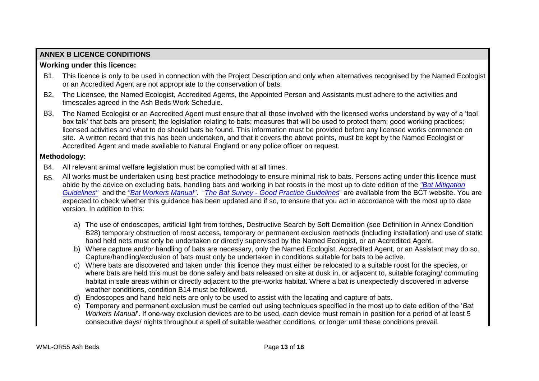# **ANNEX B LICENCE CONDITIONS**

# **Working under this licence:**

- B1. This licence is only to be used in connection with the Project Description and only when alternatives recognised by the Named Ecologist or an Accredited Agent are not appropriate to the conservation of bats.
- B2. The Licensee, the Named Ecologist, Accredited Agents, the Appointed Person and Assistants must adhere to the activities and timescales agreed in the Ash Beds Work Schedule**.**
- B3. The Named Ecologist or an Accredited Agent must ensure that all those involved with the licensed works understand by way of a 'tool box talk' that bats are present; the legislation relating to bats; measures that will be used to protect them; good working practices; licensed activities and what to do should bats be found. This information must be provided before any licensed works commence on site. A written record that this has been undertaken, and that it covers the above points, must be kept by the Named Ecologist or Accredited Agent and made available to Natural England or any police officer on request.

# **Methodology:**

- B4. All relevant animal welfare legislation must be complied with at all times.
- B5. All works must be undertaken using best practice methodology to ensure minimal risk to bats. Persons acting under this licence must abide by the advice on excluding bats, handling bats and working in bat roosts in the most up to date edition of the *["Bat Mitigation](http://webarchive.nationalarchives.gov.uk/20140605090108/http:/publications.naturalengland.org.uk/publication/69046?category=31008)  [Guidelines"](http://webarchive.nationalarchives.gov.uk/20140605090108/http:/publications.naturalengland.org.uk/publication/69046?category=31008)* and the *["Bat Workers Manual"](http://jncc.defra.gov.uk/page-2861)*. "*The Bat Survey - [Good Practice Guidelines](http://www.bats.org.uk/pages/batsurveyguide.html)*" are available from the BCT website. You are expected to check whether this guidance has been updated and if so, to ensure that you act in accordance with the most up to date version. In addition to this:
	- a) The use of endoscopes, artificial light from torches, Destructive Search by Soft Demolition (see Definition in Annex Condition B28) temporary obstruction of roost access, temporary or permanent exclusion methods (including installation) and use of static hand held nets must only be undertaken or directly supervised by the Named Ecologist, or an Accredited Agent.
	- b) Where capture and/or handling of bats are necessary, only the Named Ecologist, Accredited Agent, or an Assistant may do so. Capture/handling/exclusion of bats must only be undertaken in conditions suitable for bats to be active.
	- c) Where bats are discovered and taken under this licence they must either be relocated to a suitable roost for the species, or where bats are held this must be done safely and bats released on site at dusk in, or adjacent to, suitable foraging/ commuting habitat in safe areas within or directly adjacent to the pre-works habitat. Where a bat is unexpectedly discovered in adverse weather conditions, condition B14 must be followed.
	- d) Endoscopes and hand held nets are only to be used to assist with the locating and capture of bats.
	- e) Temporary and permanent exclusion must be carried out using techniques specified in the most up to date edition of the '*Bat Workers Manual*'. If one-way exclusion devices are to be used, each device must remain in position for a period of at least 5 consecutive days/ nights throughout a spell of suitable weather conditions, or longer until these conditions prevail.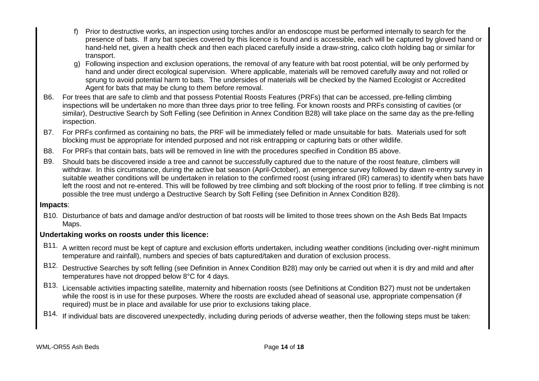- f) Prior to destructive works, an inspection using torches and/or an endoscope must be performed internally to search for the presence of bats. If any bat species covered by this licence is found and is accessible, each will be captured by gloved hand or hand-held net, given a health check and then each placed carefully inside a draw-string, calico cloth holding bag or similar for transport.
- g) Following inspection and exclusion operations, the removal of any feature with bat roost potential, will be only performed by hand and under direct ecological supervision. Where applicable, materials will be removed carefully away and not rolled or sprung to avoid potential harm to bats. The undersides of materials will be checked by the Named Ecologist or Accredited Agent for bats that may be clung to them before removal.
- B6. For trees that are safe to climb and that possess Potential Roosts Features (PRFs) that can be accessed, pre-felling climbing inspections will be undertaken no more than three days prior to tree felling. For known roosts and PRFs consisting of cavities (or similar), Destructive Search by Soft Felling (see Definition in Annex Condition B28) will take place on the same day as the pre-felling inspection.
- B7. For PRFs confirmed as containing no bats, the PRF will be immediately felled or made unsuitable for bats. Materials used for soft blocking must be appropriate for intended purposed and not risk entrapping or capturing bats or other wildlife.
- B8. For PRFs that contain bats, bats will be removed in line with the procedures specified in Condition B5 above.
- B9. Should bats be discovered inside a tree and cannot be successfully captured due to the nature of the roost feature, climbers will withdraw. In this circumstance, during the active bat season (April-October), an emergence survey followed by dawn re-entry survey in suitable weather conditions will be undertaken in relation to the confirmed roost (using infrared (IR) cameras) to identify when bats have left the roost and not re-entered. This will be followed by tree climbing and soft blocking of the roost prior to felling. If tree climbing is not possible the tree must undergo a Destructive Search by Soft Felling (see Definition in Annex Condition B28).

## **Impacts**:

B10. Disturbance of bats and damage and/or destruction of bat roosts will be limited to those trees shown on the Ash Beds Bat Impacts Maps.

# **Undertaking works on roosts under this licence:**

- B11. A written record must be kept of capture and exclusion efforts undertaken, including weather conditions (including over-night minimum temperature and rainfall), numbers and species of bats captured/taken and duration of exclusion process.
- B12. Destructive Searches by soft felling (see Definition in Annex Condition B28) may only be carried out when it is dry and mild and after temperatures have not dropped below 8°C for 4 days.
- B13. Licensable activities impacting satellite, maternity and hibernation roosts (see Definitions at Condition B27) must not be undertaken while the roost is in use for these purposes. Where the roosts are excluded ahead of seasonal use, appropriate compensation (if required) must be in place and available for use prior to exclusions taking place.
- B14. If individual bats are discovered unexpectedly, including during periods of adverse weather, then the following steps must be taken: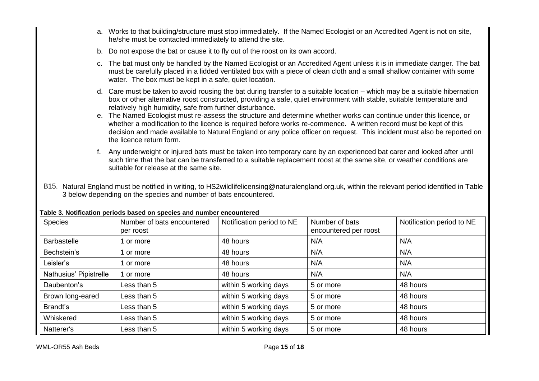- a. Works to that building/structure must stop immediately. If the Named Ecologist or an Accredited Agent is not on site, he/she must be contacted immediately to attend the site.
- b. Do not expose the bat or cause it to fly out of the roost on its own accord.
- c. The bat must only be handled by the Named Ecologist or an Accredited Agent unless it is in immediate danger. The bat must be carefully placed in a lidded ventilated box with a piece of clean cloth and a small shallow container with some water. The box must be kept in a safe, quiet location.
- d. Care must be taken to avoid rousing the bat during transfer to a suitable location which may be a suitable hibernation box or other alternative roost constructed, providing a safe, quiet environment with stable, suitable temperature and relatively high humidity, safe from further disturbance.
- e. The Named Ecologist must re-assess the structure and determine whether works can continue under this licence, or whether a modification to the licence is required before works re-commence. A written record must be kept of this decision and made available to Natural England or any police officer on request. This incident must also be reported on the licence return form.
- f. Any underweight or injured bats must be taken into temporary care by an experienced bat carer and looked after until such time that the bat can be transferred to a suitable replacement roost at the same site, or weather conditions are suitable for release at the same site.
- B15. Natural England must be notified in writing, to HS2wildlifelicensing@naturalengland.org.uk, within the relevant period identified in Table 3 below depending on the species and number of bats encountered.

|                        |                                         | ו מגוני ט. וזטנוווטמנוטוו גיטווטטט גומטכט טוו טגיטוטט מווט ווטוווגטו טווטטוונטוטט |                                         |                           |  |  |  |  |
|------------------------|-----------------------------------------|-----------------------------------------------------------------------------------|-----------------------------------------|---------------------------|--|--|--|--|
| Species                | Number of bats encountered<br>per roost | Notification period to NE                                                         | Number of bats<br>encountered per roost | Notification period to NE |  |  |  |  |
| <b>Barbastelle</b>     | 1 or more                               | 48 hours                                                                          | N/A                                     | N/A                       |  |  |  |  |
| Bechstein's            | 1 or more                               | 48 hours                                                                          | N/A                                     | N/A                       |  |  |  |  |
| Leisler's              | 1 or more                               | 48 hours                                                                          | N/A                                     | N/A                       |  |  |  |  |
| Nathusius' Pipistrelle | 1 or more                               | 48 hours                                                                          | N/A                                     | N/A                       |  |  |  |  |
| Daubenton's            | Less than 5                             | within 5 working days                                                             | 5 or more                               | 48 hours                  |  |  |  |  |
| Brown long-eared       | Less than 5                             | within 5 working days                                                             | 5 or more                               | 48 hours                  |  |  |  |  |
| Brandt's               | Less than 5                             | within 5 working days                                                             | 5 or more                               | 48 hours                  |  |  |  |  |
| Whiskered              | Less than 5                             | within 5 working days                                                             | 5 or more                               | 48 hours                  |  |  |  |  |
| Natterer's             | Less than 5                             | within 5 working days                                                             | 5 or more                               | 48 hours                  |  |  |  |  |

### **Table 3. Notification periods based on species and number encountered**

WML-OR55 Ash Beds **Page 15** of **18**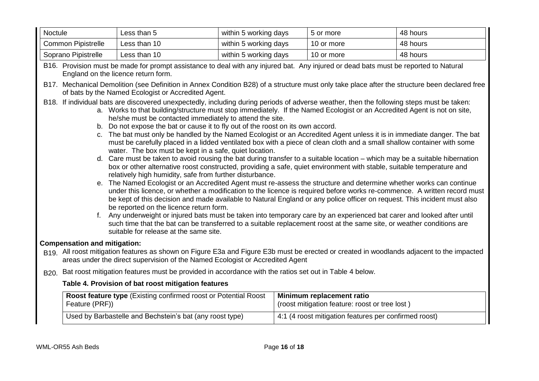| Noctule                   | Less than 5  | within 5 working days | 5 or more  | 48 hours |
|---------------------------|--------------|-----------------------|------------|----------|
| <b>Common Pipistrelle</b> | Less than 10 | within 5 working days | 10 or more | 48 hours |
| Soprano Pipistrelle       | Less than 10 | within 5 working days | 10 or more | 48 hours |

B16. Provision must be made for prompt assistance to deal with any injured bat. Any injured or dead bats must be reported to Natural England on the licence return form.

B17. Mechanical Demolition (see Definition in Annex Condition B28) of a structure must only take place after the structure been declared free of bats by the Named Ecologist or Accredited Agent.

B18. If individual bats are discovered unexpectedly, including during periods of adverse weather, then the following steps must be taken:

- a. Works to that building/structure must stop immediately. If the Named Ecologist or an Accredited Agent is not on site, he/she must be contacted immediately to attend the site.
- b. Do not expose the bat or cause it to fly out of the roost on its own accord.
- c. The bat must only be handled by the Named Ecologist or an Accredited Agent unless it is in immediate danger. The bat must be carefully placed in a lidded ventilated box with a piece of clean cloth and a small shallow container with some water. The box must be kept in a safe, quiet location.
- d. Care must be taken to avoid rousing the bat during transfer to a suitable location which may be a suitable hibernation box or other alternative roost constructed, providing a safe, quiet environment with stable, suitable temperature and relatively high humidity, safe from further disturbance.
- e. The Named Ecologist or an Accredited Agent must re-assess the structure and determine whether works can continue under this licence, or whether a modification to the licence is required before works re-commence. A written record must be kept of this decision and made available to Natural England or any police officer on request. This incident must also be reported on the licence return form.
- f. Any underweight or injured bats must be taken into temporary care by an experienced bat carer and looked after until such time that the bat can be transferred to a suitable replacement roost at the same site, or weather conditions are suitable for release at the same site.

# **Compensation and mitigation:**

B19. All roost mitigation features as shown on Figure E3a and Figure E3b must be erected or created in woodlands adjacent to the impacted areas under the direct supervision of the Named Ecologist or Accredited Agent

B20. Bat roost mitigation features must be provided in accordance with the ratios set out in Table 4 below.

# **Table 4. Provision of bat roost mitigation features**

| Roost feature type (Existing confirmed roost or Potential Roost | Minimum replacement ratio                             |
|-----------------------------------------------------------------|-------------------------------------------------------|
| Feature (PRF))                                                  | (roost mitigation feature: roost or tree lost)        |
| Used by Barbastelle and Bechstein's bat (any roost type)        | 4:1 (4 roost mitigation features per confirmed roost) |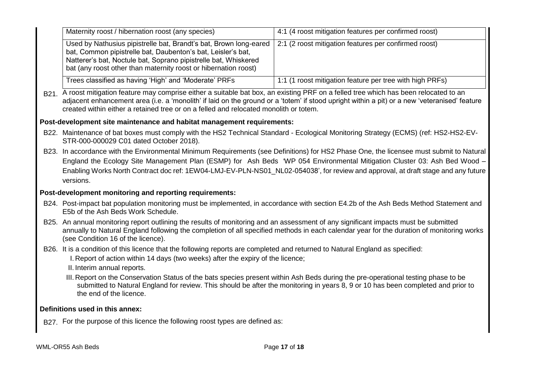|                                                                                                                                              | Maternity roost / hibernation roost (any species)                                                                                                                                                                                                                                                                                                                                                                                                                                                                        | 4:1 (4 roost mitigation features per confirmed roost)    |  |  |  |  |
|----------------------------------------------------------------------------------------------------------------------------------------------|--------------------------------------------------------------------------------------------------------------------------------------------------------------------------------------------------------------------------------------------------------------------------------------------------------------------------------------------------------------------------------------------------------------------------------------------------------------------------------------------------------------------------|----------------------------------------------------------|--|--|--|--|
|                                                                                                                                              | Used by Nathusius pipistrelle bat, Brandt's bat, Brown long-eared<br>bat, Common pipistrelle bat, Daubenton's bat, Leisler's bat,<br>Natterer's bat, Noctule bat, Soprano pipistrelle bat, Whiskered<br>bat (any roost other than maternity roost or hibernation roost)                                                                                                                                                                                                                                                  | 2:1 (2 roost mitigation features per confirmed roost)    |  |  |  |  |
|                                                                                                                                              | Trees classified as having 'High' and 'Moderate' PRFs                                                                                                                                                                                                                                                                                                                                                                                                                                                                    | 1:1 (1 roost mitigation feature per tree with high PRFs) |  |  |  |  |
|                                                                                                                                              | B21. A roost mitigation feature may comprise either a suitable bat box, an existing PRF on a felled tree which has been relocated to an<br>adjacent enhancement area (i.e. a 'monolith' if laid on the ground or a 'totem' if stood upright within a pit) or a new 'veteranised' feature<br>created within either a retained tree or on a felled and relocated monolith or totem.                                                                                                                                        |                                                          |  |  |  |  |
|                                                                                                                                              | Post-development site maintenance and habitat management requirements:                                                                                                                                                                                                                                                                                                                                                                                                                                                   |                                                          |  |  |  |  |
|                                                                                                                                              | B22. Maintenance of bat boxes must comply with the HS2 Technical Standard - Ecological Monitoring Strategy (ECMS) (ref: HS2-HS2-EV-<br>STR-000-000029 C01 dated October 2018).                                                                                                                                                                                                                                                                                                                                           |                                                          |  |  |  |  |
|                                                                                                                                              | B23. In accordance with the Environmental Minimum Requirements (see Definitions) for HS2 Phase One, the licensee must submit to Natural<br>England the Ecology Site Management Plan (ESMP) for Ash Beds 'WP 054 Environmental Mitigation Cluster 03: Ash Bed Wood -<br>Enabling Works North Contract doc ref: 1EW04-LMJ-EV-PLN-NS01_NL02-054038', for review and approval, at draft stage and any future<br>versions.                                                                                                    |                                                          |  |  |  |  |
|                                                                                                                                              | Post-development monitoring and reporting requirements:                                                                                                                                                                                                                                                                                                                                                                                                                                                                  |                                                          |  |  |  |  |
|                                                                                                                                              | B24. Post-impact bat population monitoring must be implemented, in accordance with section E4.2b of the Ash Beds Method Statement and<br>E5b of the Ash Beds Work Schedule.                                                                                                                                                                                                                                                                                                                                              |                                                          |  |  |  |  |
|                                                                                                                                              | B25. An annual monitoring report outlining the results of monitoring and an assessment of any significant impacts must be submitted<br>annually to Natural England following the completion of all specified methods in each calendar year for the duration of monitoring works<br>(see Condition 16 of the licence).                                                                                                                                                                                                    |                                                          |  |  |  |  |
|                                                                                                                                              | B26. It is a condition of this licence that the following reports are completed and returned to Natural England as specified:<br>I. Report of action within 14 days (two weeks) after the expiry of the licence;<br>II. Interim annual reports.<br>III. Report on the Conservation Status of the bats species present within Ash Beds during the pre-operational testing phase to be<br>submitted to Natural England for review. This should be after the monitoring in years 8, 9 or 10 has been completed and prior to |                                                          |  |  |  |  |
| the end of the licence.<br>Definitions used in this annex:<br>B27. For the purpose of this licence the following roost types are defined as: |                                                                                                                                                                                                                                                                                                                                                                                                                                                                                                                          |                                                          |  |  |  |  |
|                                                                                                                                              |                                                                                                                                                                                                                                                                                                                                                                                                                                                                                                                          |                                                          |  |  |  |  |